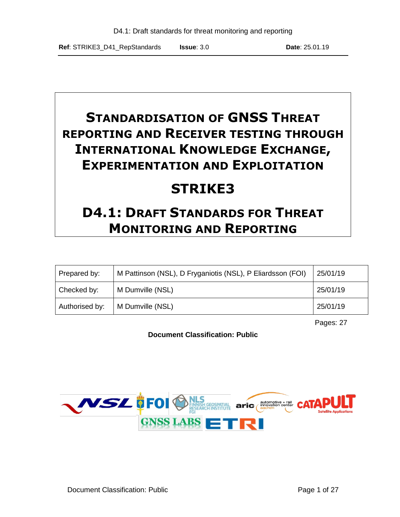# **STANDARDISATION OF GNSS THREAT REPORTING AND RECEIVER TESTING THROUGH INTERNATIONAL KNOWLEDGE EXCHANGE, EXPERIMENTATION AND EXPLOITATION**

# **STRIKE3**

# **D4.1: DRAFT STANDARDS FOR THREAT MONITORING AND REPORTING**

| Prepared by:   | M Pattinson (NSL), D Fryganiotis (NSL), P Eliardsson (FOI) | 25/01/19 |
|----------------|------------------------------------------------------------|----------|
| Checked by:    | M Dumville (NSL)                                           | 25/01/19 |
| Authorised by: | M Dumville (NSL)                                           | 25/01/19 |

Pages: 27

**Document Classification: Public**

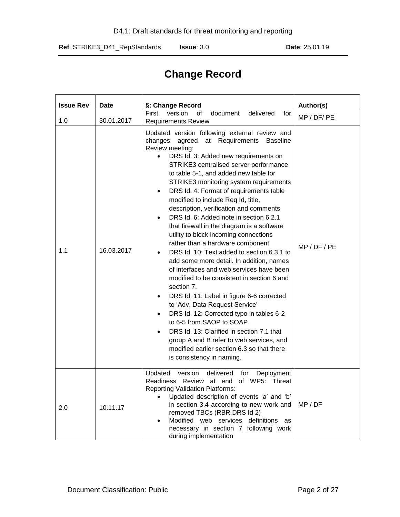# **Change Record**

| <b>Issue Rev</b> | <b>Date</b> | §: Change Record                                                                                                                                                                                                                                                                                                                                                                                                                                                                                                                                                                                                                                                                                                                                                                                                                                                                                                                                                                                                                                                                                                                                         | Author(s)    |
|------------------|-------------|----------------------------------------------------------------------------------------------------------------------------------------------------------------------------------------------------------------------------------------------------------------------------------------------------------------------------------------------------------------------------------------------------------------------------------------------------------------------------------------------------------------------------------------------------------------------------------------------------------------------------------------------------------------------------------------------------------------------------------------------------------------------------------------------------------------------------------------------------------------------------------------------------------------------------------------------------------------------------------------------------------------------------------------------------------------------------------------------------------------------------------------------------------|--------------|
| 1.0              | 30.01.2017  | First<br>delivered<br>version<br>of<br>document<br>for<br><b>Requirements Review</b>                                                                                                                                                                                                                                                                                                                                                                                                                                                                                                                                                                                                                                                                                                                                                                                                                                                                                                                                                                                                                                                                     | MP / DF/ PE  |
| 1.1              | 16.03.2017  | Updated version following external review and<br>changes<br>agreed<br>at Requirements<br><b>Baseline</b><br>Review meeting:<br>DRS Id. 3: Added new requirements on<br>STRIKE3 centralised server performance<br>to table 5-1, and added new table for<br>STRIKE3 monitoring system requirements<br>DRS Id. 4: Format of requirements table<br>$\bullet$<br>modified to include Req Id, title,<br>description, verification and comments<br>DRS Id. 6: Added note in section 6.2.1<br>that firewall in the diagram is a software<br>utility to block incoming connections<br>rather than a hardware component<br>DRS Id. 10: Text added to section 6.3.1 to<br>add some more detail. In addition, names<br>of interfaces and web services have been<br>modified to be consistent in section 6 and<br>section 7.<br>DRS Id. 11: Label in figure 6-6 corrected<br>$\bullet$<br>to 'Adv. Data Request Service'<br>DRS Id. 12: Corrected typo in tables 6-2<br>to 6-5 from SAOP to SOAP.<br>DRS Id. 13: Clarified in section 7.1 that<br>group A and B refer to web services, and<br>modified earlier section 6.3 so that there<br>is consistency in naming. | MP / DF / PE |
| 2.0              | 10.11.17    | delivered<br>Updated<br>version<br>for<br>Deployment<br>Readiness Review at end of WP5: Threat<br><b>Reporting Validation Platforms:</b><br>Updated description of events 'a' and 'b'<br>in section 3.4 according to new work and<br>removed TBCs (RBR DRS Id 2)<br>Modified web services definitions as<br>necessary in section 7 following work<br>during implementation                                                                                                                                                                                                                                                                                                                                                                                                                                                                                                                                                                                                                                                                                                                                                                               | MP / DF      |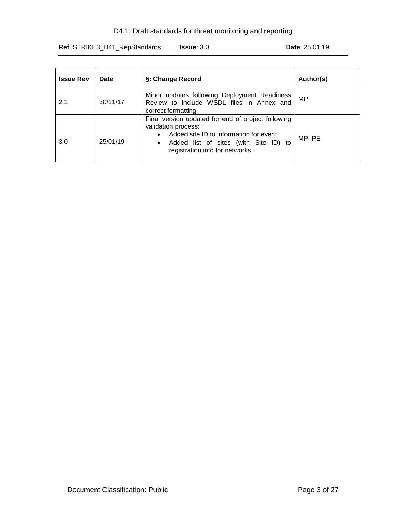### D4.1: Draft standards for threat monitoring and reporting

**Ref**: STRIKE3\_D41\_RepStandards **Issue**: 3.0 **Date**: 25.01.19

| <b>Issue Rev</b> | Date     | §: Change Record                                                                                                                                                                                                         | Author(s) |
|------------------|----------|--------------------------------------------------------------------------------------------------------------------------------------------------------------------------------------------------------------------------|-----------|
| 2.1              | 30/11/17 | Minor updates following Deployment Readiness<br>Review to include WSDL files in Annex and<br>correct formatting                                                                                                          | <b>MP</b> |
| 3.0              | 25/01/19 | Final version updated for end of project following<br>validation process:<br>Added site ID to information for event<br>$\bullet$<br>Added list of sites (with Site ID) to<br>$\bullet$<br>registration info for networks | MP, PE    |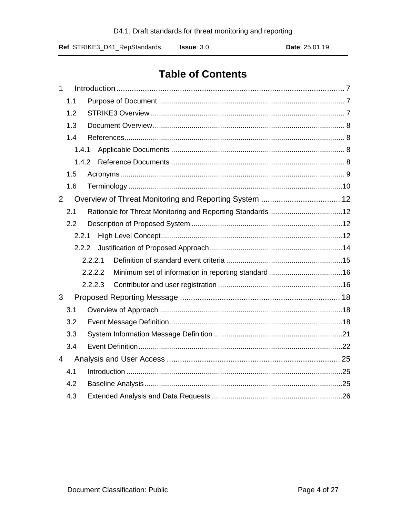# **Table of Contents**

| $\mathbf{1}$   |       |         |  |
|----------------|-------|---------|--|
|                | 1.1   |         |  |
|                | 1.2   |         |  |
|                | 1.3   |         |  |
|                | 1.4   |         |  |
|                | 1.4.1 |         |  |
|                | 1.4.2 |         |  |
|                | 1.5   |         |  |
|                | 1.6   |         |  |
| $\overline{2}$ |       |         |  |
|                | 2.1   |         |  |
|                | 2.2   |         |  |
|                | 2.2.1 |         |  |
|                | 2.2.2 |         |  |
|                |       | 2.2.2.1 |  |
|                |       | 2.2.2.2 |  |
|                |       | 2.2.2.3 |  |
| 3              |       |         |  |
|                | 3.1   |         |  |
|                | 3.2   |         |  |
|                | 3.3   |         |  |
|                | 3.4   |         |  |
| $\overline{4}$ |       |         |  |
|                | 4.1   |         |  |
|                | 4.2   |         |  |
|                | 4.3   |         |  |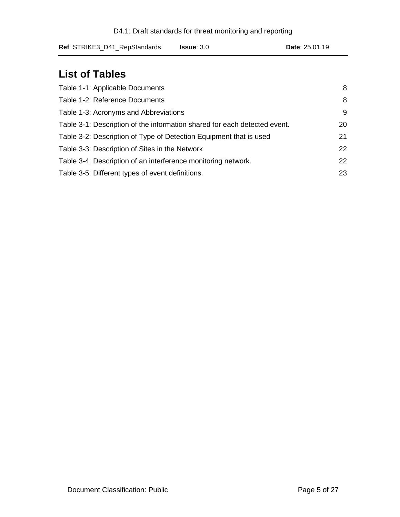| D4.1: Draft standards for threat monitoring and reporting |  |  |  |
|-----------------------------------------------------------|--|--|--|
|-----------------------------------------------------------|--|--|--|

# **List of Tables**

| Table 1-1: Applicable Documents                                           | 8  |
|---------------------------------------------------------------------------|----|
| Table 1-2: Reference Documents                                            | 8  |
| Table 1-3: Acronyms and Abbreviations                                     | 9  |
| Table 3-1: Description of the information shared for each detected event. | 20 |
| Table 3-2: Description of Type of Detection Equipment that is used        | 21 |
| Table 3-3: Description of Sites in the Network                            | 22 |
| Table 3-4: Description of an interference monitoring network.             | 22 |
| Table 3-5: Different types of event definitions.                          | 23 |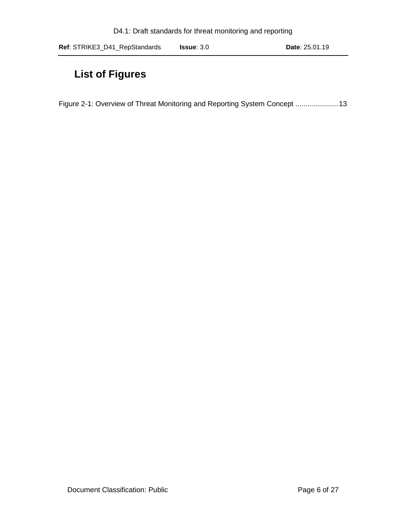# **List of Figures**

[Figure 2-1: Overview of Threat Monitoring and Reporting System Concept](#page-12-0) .....................13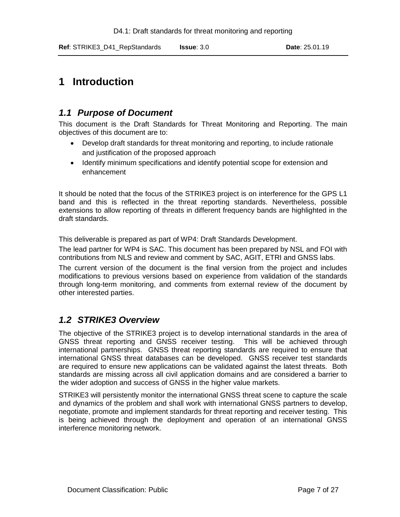# <span id="page-6-0"></span>**1 Introduction**

# <span id="page-6-1"></span>*1.1 Purpose of Document*

This document is the Draft Standards for Threat Monitoring and Reporting. The main objectives of this document are to:

- Develop draft standards for threat monitoring and reporting, to include rationale and justification of the proposed approach
- Identify minimum specifications and identify potential scope for extension and enhancement

It should be noted that the focus of the STRIKE3 project is on interference for the GPS L1 band and this is reflected in the threat reporting standards. Nevertheless, possible extensions to allow reporting of threats in different frequency bands are highlighted in the draft standards.

This deliverable is prepared as part of WP4: Draft Standards Development.

The lead partner for WP4 is SAC. This document has been prepared by NSL and FOI with contributions from NLS and review and comment by SAC, AGIT, ETRI and GNSS labs.

The current version of the document is the final version from the project and includes modifications to previous versions based on experience from validation of the standards through long-term monitoring, and comments from external review of the document by other interested parties.

# <span id="page-6-2"></span>*1.2 STRIKE3 Overview*

The objective of the STRIKE3 project is to develop international standards in the area of GNSS threat reporting and GNSS receiver testing. This will be achieved through international partnerships. GNSS threat reporting standards are required to ensure that international GNSS threat databases can be developed. GNSS receiver test standards are required to ensure new applications can be validated against the latest threats. Both standards are missing across all civil application domains and are considered a barrier to the wider adoption and success of GNSS in the higher value markets.

STRIKE3 will persistently monitor the international GNSS threat scene to capture the scale and dynamics of the problem and shall work with international GNSS partners to develop, negotiate, promote and implement standards for threat reporting and receiver testing. This is being achieved through the deployment and operation of an international GNSS interference monitoring network.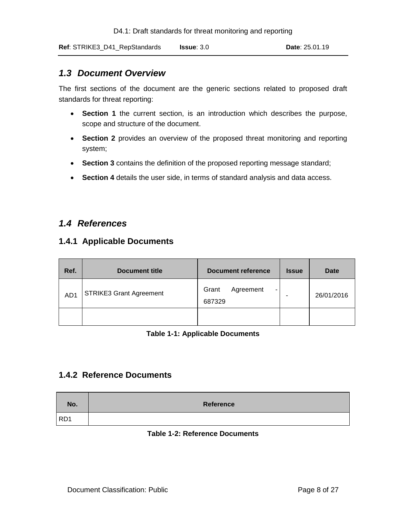### <span id="page-7-0"></span>*1.3 Document Overview*

The first sections of the document are the generic sections related to proposed draft standards for threat reporting:

- **Section 1** the current section, is an introduction which describes the purpose, scope and structure of the document.
- **Section 2** provides an overview of the proposed threat monitoring and reporting system;
- **Section 3** contains the definition of the proposed reporting message standard;
- **Section 4** details the user side, in terms of standard analysis and data access.

### <span id="page-7-1"></span>*1.4 References*

### <span id="page-7-2"></span>**1.4.1 Applicable Documents**

| Ref.            | <b>Document title</b>          | Document reference                | <b>Issue</b> | <b>Date</b> |
|-----------------|--------------------------------|-----------------------------------|--------------|-------------|
| AD <sub>1</sub> | <b>STRIKE3 Grant Agreement</b> | Grant<br>Agreement<br>۰<br>687329 |              | 26/01/2016  |
|                 |                                |                                   |              |             |

### **Table 1-1: Applicable Documents**

### <span id="page-7-4"></span><span id="page-7-3"></span>**1.4.2 Reference Documents**

<span id="page-7-5"></span>

| No.             | <b>Reference</b> |
|-----------------|------------------|
| RD <sub>1</sub> |                  |

### **Table 1-2: Reference Documents**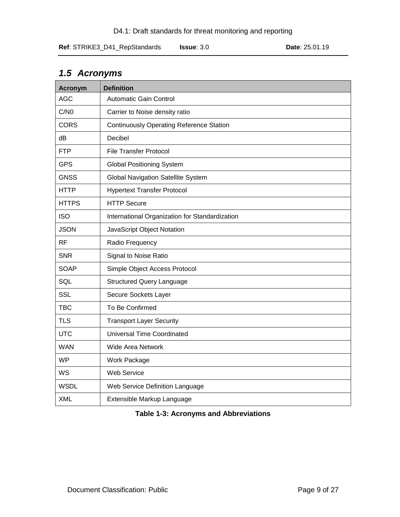<span id="page-8-0"></span>

| 1.5 Acronyms |  |  |
|--------------|--|--|
|--------------|--|--|

| <b>Acronym</b> | <b>Definition</b>                               |
|----------------|-------------------------------------------------|
| <b>AGC</b>     | <b>Automatic Gain Control</b>                   |
| C/N0           | Carrier to Noise density ratio                  |
| <b>CORS</b>    | <b>Continuously Operating Reference Station</b> |
| dB             | Decibel                                         |
| <b>FTP</b>     | <b>File Transfer Protocol</b>                   |
| <b>GPS</b>     | <b>Global Positioning System</b>                |
| <b>GNSS</b>    | <b>Global Navigation Satellite System</b>       |
| <b>HTTP</b>    | <b>Hypertext Transfer Protocol</b>              |
| <b>HTTPS</b>   | <b>HTTP Secure</b>                              |
| <b>ISO</b>     | International Organization for Standardization  |
| <b>JSON</b>    | JavaScript Object Notation                      |
| <b>RF</b>      | Radio Frequency                                 |
| <b>SNR</b>     | Signal to Noise Ratio                           |
| <b>SOAP</b>    | Simple Object Access Protocol                   |
| SQL            | <b>Structured Query Language</b>                |
| <b>SSL</b>     | Secure Sockets Layer                            |
| <b>TBC</b>     | To Be Confirmed                                 |
| <b>TLS</b>     | <b>Transport Layer Security</b>                 |
| <b>UTC</b>     | <b>Universal Time Coordinated</b>               |
| <b>WAN</b>     | Wide Area Network                               |
| <b>WP</b>      | Work Package                                    |
| <b>WS</b>      | <b>Web Service</b>                              |
| <b>WSDL</b>    | Web Service Definition Language                 |
| <b>XML</b>     | Extensible Markup Language                      |

### <span id="page-8-1"></span>**Table 1-3: Acronyms and Abbreviations**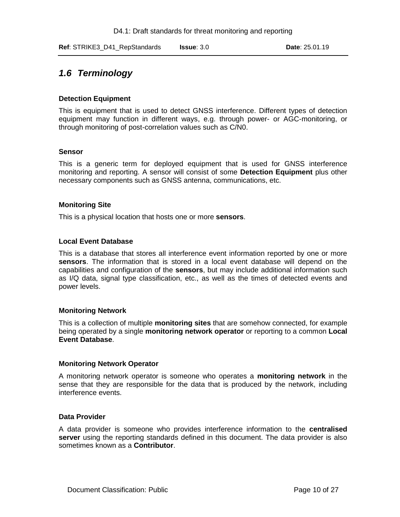# <span id="page-9-0"></span>*1.6 Terminology*

### **Detection Equipment**

This is equipment that is used to detect GNSS interference. Different types of detection equipment may function in different ways, e.g. through power- or AGC-monitoring, or through monitoring of post-correlation values such as C/N0.

#### **Sensor**

This is a generic term for deployed equipment that is used for GNSS interference monitoring and reporting. A sensor will consist of some **Detection Equipment** plus other necessary components such as GNSS antenna, communications, etc.

### **Monitoring Site**

This is a physical location that hosts one or more **sensors**.

#### **Local Event Database**

This is a database that stores all interference event information reported by one or more **sensors**. The information that is stored in a local event database will depend on the capabilities and configuration of the **sensors**, but may include additional information such as I/Q data, signal type classification, etc., as well as the times of detected events and power levels.

#### **Monitoring Network**

This is a collection of multiple **monitoring sites** that are somehow connected, for example being operated by a single **monitoring network operator** or reporting to a common **Local Event Database**.

#### **Monitoring Network Operator**

A monitoring network operator is someone who operates a **monitoring network** in the sense that they are responsible for the data that is produced by the network, including interference events.

#### **Data Provider**

A data provider is someone who provides interference information to the **centralised server** using the reporting standards defined in this document. The data provider is also sometimes known as a **Contributor**.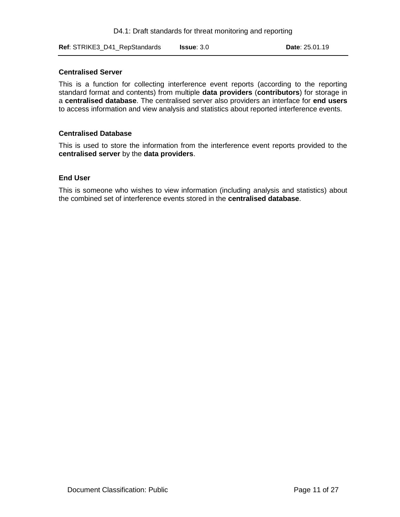**Ref**: STRIKE3\_D41\_RepStandards **Issue**: 3.0 **Date**: 25.01.19

### **Centralised Server**

This is a function for collecting interference event reports (according to the reporting standard format and contents) from multiple **data providers** (**contributors**) for storage in a **centralised database**. The centralised server also providers an interface for **end users** to access information and view analysis and statistics about reported interference events.

#### **Centralised Database**

This is used to store the information from the interference event reports provided to the **centralised server** by the **data providers**.

#### **End User**

This is someone who wishes to view information (including analysis and statistics) about the combined set of interference events stored in the **centralised database**.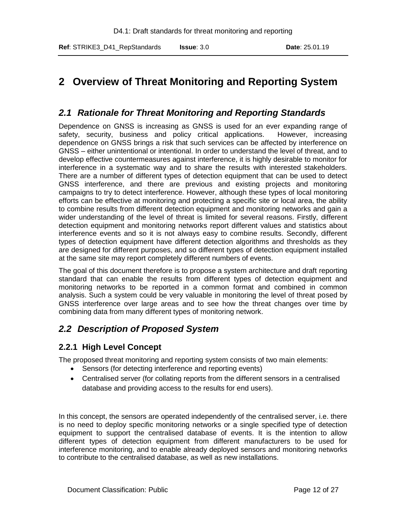# <span id="page-11-0"></span>**2 Overview of Threat Monitoring and Reporting System**

### <span id="page-11-1"></span>*2.1 Rationale for Threat Monitoring and Reporting Standards*

Dependence on GNSS is increasing as GNSS is used for an ever expanding range of safety, security, business and policy critical applications. However, increasing dependence on GNSS brings a risk that such services can be affected by interference on GNSS – either unintentional or intentional. In order to understand the level of threat, and to develop effective countermeasures against interference, it is highly desirable to monitor for interference in a systematic way and to share the results with interested stakeholders. There are a number of different types of detection equipment that can be used to detect GNSS interference, and there are previous and existing projects and monitoring campaigns to try to detect interference. However, although these types of local monitoring efforts can be effective at monitoring and protecting a specific site or local area, the ability to combine results from different detection equipment and monitoring networks and gain a wider understanding of the level of threat is limited for several reasons. Firstly, different detection equipment and monitoring networks report different values and statistics about interference events and so it is not always easy to combine results. Secondly, different types of detection equipment have different detection algorithms and thresholds as they are designed for different purposes, and so different types of detection equipment installed at the same site may report completely different numbers of events.

The goal of this document therefore is to propose a system architecture and draft reporting standard that can enable the results from different types of detection equipment and monitoring networks to be reported in a common format and combined in common analysis. Such a system could be very valuable in monitoring the level of threat posed by GNSS interference over large areas and to see how the threat changes over time by combining data from many different types of monitoring network.

# <span id="page-11-2"></span>*2.2 Description of Proposed System*

### <span id="page-11-3"></span>**2.2.1 High Level Concept**

The proposed threat monitoring and reporting system consists of two main elements:

- Sensors (for detecting interference and reporting events)
- Centralised server (for collating reports from the different sensors in a centralised database and providing access to the results for end users).

In this concept, the sensors are operated independently of the centralised server, i.e. there is no need to deploy specific monitoring networks or a single specified type of detection equipment to support the centralised database of events. It is the intention to allow different types of detection equipment from different manufacturers to be used for interference monitoring, and to enable already deployed sensors and monitoring networks to contribute to the centralised database, as well as new installations.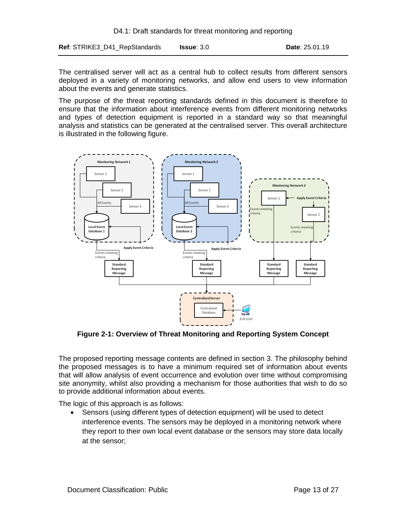**Ref**: STRIKE3\_D41\_RepStandards **Issue**: 3.0 **Date**: 25.01.19

The centralised server will act as a central hub to collect results from different sensors deployed in a variety of monitoring networks, and allow end users to view information about the events and generate statistics.

The purpose of the threat reporting standards defined in this document is therefore to ensure that the information about interference events from different monitoring networks and types of detection equipment is reported in a standard way so that meaningful analysis and statistics can be generated at the centralised server. This overall architecture is illustrated in the following figure.



<span id="page-12-0"></span>**Figure 2-1: Overview of Threat Monitoring and Reporting System Concept**

The proposed reporting message contents are defined in section [3.](#page-17-0) The philosophy behind the proposed messages is to have a minimum required set of information about events that will allow analysis of event occurrence and evolution over time without compromising site anonymity, whilst also providing a mechanism for those authorities that wish to do so to provide additional information about events.

The logic of this approach is as follows:

 Sensors (using different types of detection equipment) will be used to detect interference events. The sensors may be deployed in a monitoring network where they report to their own local event database or the sensors may store data locally at the sensor;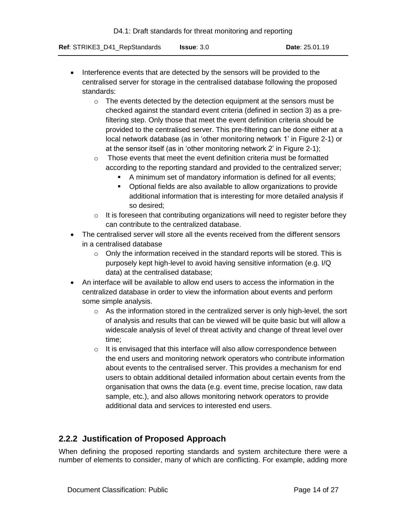- Interference events that are detected by the sensors will be provided to the centralised server for storage in the centralised database following the proposed standards:
	- $\circ$  The events detected by the detection equipment at the sensors must be checked against the standard event criteria (defined in section [3\)](#page-17-0) as a prefiltering step. Only those that meet the event definition criteria should be provided to the centralised server. This pre-filtering can be done either at a local network database (as in 'other monitoring network 1' in [Figure 2-1\)](#page-12-0) or at the sensor itself (as in 'other monitoring network 2' in [Figure 2-1\)](#page-12-0);
	- o Those events that meet the event definition criteria must be formatted according to the reporting standard and provided to the centralized server;
		- A minimum set of mandatory information is defined for all events;
		- **•** Optional fields are also available to allow organizations to provide additional information that is interesting for more detailed analysis if so desired;
	- o It is foreseen that contributing organizations will need to register before they can contribute to the centralized database.
- The centralised server will store all the events received from the different sensors in a centralised database
	- $\circ$  Only the information received in the standard reports will be stored. This is purposely kept high-level to avoid having sensitive information (e.g. I/Q data) at the centralised database;
- An interface will be available to allow end users to access the information in the centralized database in order to view the information about events and perform some simple analysis.
	- $\circ$  As the information stored in the centralized server is only high-level, the sort of analysis and results that can be viewed will be quite basic but will allow a widescale analysis of level of threat activity and change of threat level over time;
	- o It is envisaged that this interface will also allow correspondence between the end users and monitoring network operators who contribute information about events to the centralised server. This provides a mechanism for end users to obtain additional detailed information about certain events from the organisation that owns the data (e.g. event time, precise location, raw data sample, etc.), and also allows monitoring network operators to provide additional data and services to interested end users.

# <span id="page-13-0"></span>**2.2.2 Justification of Proposed Approach**

When defining the proposed reporting standards and system architecture there were a number of elements to consider, many of which are conflicting. For example, adding more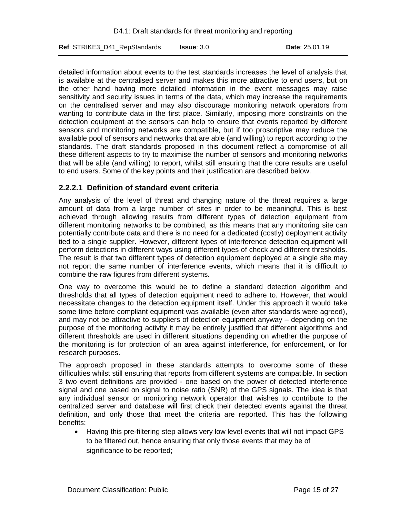detailed information about events to the test standards increases the level of analysis that is available at the centralised server and makes this more attractive to end users, but on the other hand having more detailed information in the event messages may raise sensitivity and security issues in terms of the data, which may increase the requirements on the centralised server and may also discourage monitoring network operators from wanting to contribute data in the first place. Similarly, imposing more constraints on the detection equipment at the sensors can help to ensure that events reported by different sensors and monitoring networks are compatible, but if too proscriptive may reduce the available pool of sensors and networks that are able (and willing) to report according to the standards. The draft standards proposed in this document reflect a compromise of all these different aspects to try to maximise the number of sensors and monitoring networks that will be able (and willing) to report, whilst still ensuring that the core results are useful to end users. Some of the key points and their justification are described below.

### <span id="page-14-0"></span>**2.2.2.1 Definition of standard event criteria**

Any analysis of the level of threat and changing nature of the threat requires a large amount of data from a large number of sites in order to be meaningful. This is best achieved through allowing results from different types of detection equipment from different monitoring networks to be combined, as this means that any monitoring site can potentially contribute data and there is no need for a dedicated (costly) deployment activity tied to a single supplier. However, different types of interference detection equipment will perform detections in different ways using different types of check and different thresholds. The result is that two different types of detection equipment deployed at a single site may not report the same number of interference events, which means that it is difficult to combine the raw figures from different systems.

One way to overcome this would be to define a standard detection algorithm and thresholds that all types of detection equipment need to adhere to. However, that would necessitate changes to the detection equipment itself. Under this approach it would take some time before compliant equipment was available (even after standards were agreed), and may not be attractive to suppliers of detection equipment anyway – depending on the purpose of the monitoring activity it may be entirely justified that different algorithms and different thresholds are used in different situations depending on whether the purpose of the monitoring is for protection of an area against interference, for enforcement, or for research purposes.

The approach proposed in these standards attempts to overcome some of these difficulties whilst still ensuring that reports from different systems are compatible. In section [3](#page-17-0) two event definitions are provided - one based on the power of detected interference signal and one based on signal to noise ratio (SNR) of the GPS signals. The idea is that any individual sensor or monitoring network operator that wishes to contribute to the centralized server and database will first check their detected events against the threat definition, and only those that meet the criteria are reported. This has the following benefits:

 Having this pre-filtering step allows very low level events that will not impact GPS to be filtered out, hence ensuring that only those events that may be of significance to be reported;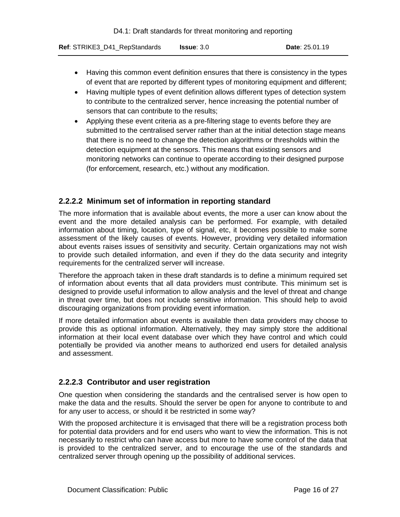- Having this common event definition ensures that there is consistency in the types of event that are reported by different types of monitoring equipment and different;
- Having multiple types of event definition allows different types of detection system to contribute to the centralized server, hence increasing the potential number of sensors that can contribute to the results;
- Applying these event criteria as a pre-filtering stage to events before they are submitted to the centralised server rather than at the initial detection stage means that there is no need to change the detection algorithms or thresholds within the detection equipment at the sensors. This means that existing sensors and monitoring networks can continue to operate according to their designed purpose (for enforcement, research, etc.) without any modification.

### <span id="page-15-0"></span>**2.2.2.2 Minimum set of information in reporting standard**

The more information that is available about events, the more a user can know about the event and the more detailed analysis can be performed. For example, with detailed information about timing, location, type of signal, etc, it becomes possible to make some assessment of the likely causes of events. However, providing very detailed information about events raises issues of sensitivity and security. Certain organizations may not wish to provide such detailed information, and even if they do the data security and integrity requirements for the centralized server will increase.

Therefore the approach taken in these draft standards is to define a minimum required set of information about events that all data providers must contribute. This minimum set is designed to provide useful information to allow analysis and the level of threat and change in threat over time, but does not include sensitive information. This should help to avoid discouraging organizations from providing event information.

If more detailed information about events is available then data providers may choose to provide this as optional information. Alternatively, they may simply store the additional information at their local event database over which they have control and which could potentially be provided via another means to authorized end users for detailed analysis and assessment.

### <span id="page-15-1"></span>**2.2.2.3 Contributor and user registration**

One question when considering the standards and the centralised server is how open to make the data and the results. Should the server be open for anyone to contribute to and for any user to access, or should it be restricted in some way?

With the proposed architecture it is envisaged that there will be a registration process both for potential data providers and for end users who want to view the information. This is not necessarily to restrict who can have access but more to have some control of the data that is provided to the centralized server, and to encourage the use of the standards and centralized server through opening up the possibility of additional services.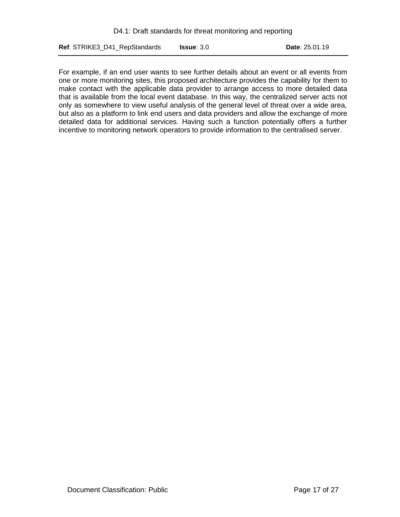For example, if an end user wants to see further details about an event or all events from one or more monitoring sites, this proposed architecture provides the capability for them to make contact with the applicable data provider to arrange access to more detailed data that is available from the local event database. In this way, the centralized server acts not only as somewhere to view useful analysis of the general level of threat over a wide area, but also as a platform to link end users and data providers and allow the exchange of more detailed data for additional services. Having such a function potentially offers a further incentive to monitoring network operators to provide information to the centralised server.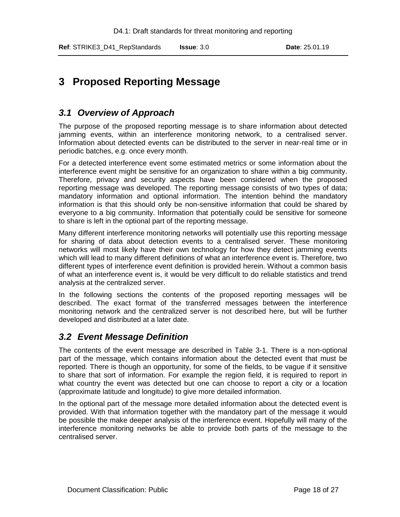# <span id="page-17-0"></span>**3 Proposed Reporting Message**

# <span id="page-17-1"></span>*3.1 Overview of Approach*

The purpose of the proposed reporting message is to share information about detected jamming events, within an interference monitoring network, to a centralised server. Information about detected events can be distributed to the server in near-real time or in periodic batches, e.g. once every month.

For a detected interference event some estimated metrics or some information about the interference event might be sensitive for an organization to share within a big community. Therefore, privacy and security aspects have been considered when the proposed reporting message was developed. The reporting message consists of two types of data; mandatory information and optional information. The intention behind the mandatory information is that this should only be non-sensitive information that could be shared by everyone to a big community. Information that potentially could be sensitive for someone to share is left in the optional part of the reporting message.

Many different interference monitoring networks will potentially use this reporting message for sharing of data about detection events to a centralised server. These monitoring networks will most likely have their own technology for how they detect jamming events which will lead to many different definitions of what an interference event is. Therefore, two different types of interference event definition is provided herein. Without a common basis of what an interference event is, it would be very difficult to do reliable statistics and trend analysis at the centralized server.

In the following sections the contents of the proposed reporting messages will be described. The exact format of the transferred messages between the interference monitoring network and the centralized server is not described here, but will be further developed and distributed at a later date.

# <span id="page-17-2"></span>*3.2 Event Message Definition*

The contents of the event message are described in [Table 3-1.](#page-19-0) There is a non-optional part of the message, which contains information about the detected event that must be reported. There is though an opportunity, for some of the fields, to be vague if it sensitive to share that sort of information. For example the region field, it is required to report in what country the event was detected but one can choose to report a city or a location (approximate latitude and longitude) to give more detailed information.

In the optional part of the message more detailed information about the detected event is provided. With that information together with the mandatory part of the message it would be possible the make deeper analysis of the interference event. Hopefully will many of the interference monitoring networks be able to provide both parts of the message to the centralised server.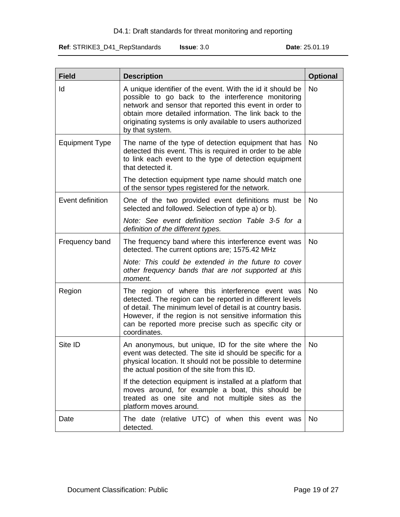### D4.1: Draft standards for threat monitoring and reporting

**Ref**: STRIKE3\_D41\_RepStandards **Issue**: 3.0 **Date**: 25.01.19

| <b>Field</b>          | <b>Description</b>                                                                                                                                                                                                                                                                                                    | <b>Optional</b> |
|-----------------------|-----------------------------------------------------------------------------------------------------------------------------------------------------------------------------------------------------------------------------------------------------------------------------------------------------------------------|-----------------|
| ld                    | A unique identifier of the event. With the id it should be<br>possible to go back to the interference monitoring<br>network and sensor that reported this event in order to<br>obtain more detailed information. The link back to the<br>originating systems is only available to users authorized<br>by that system. | <b>No</b>       |
| <b>Equipment Type</b> | The name of the type of detection equipment that has<br>detected this event. This is required in order to be able<br>to link each event to the type of detection equipment<br>that detected it.                                                                                                                       | <b>No</b>       |
|                       | The detection equipment type name should match one<br>of the sensor types registered for the network.                                                                                                                                                                                                                 |                 |
| Event definition      | One of the two provided event definitions must be<br>selected and followed. Selection of type a) or b).                                                                                                                                                                                                               | <b>No</b>       |
|                       | Note: See event definition section Table 3-5 for a<br>definition of the different types.                                                                                                                                                                                                                              |                 |
| Frequency band        | The frequency band where this interference event was<br>detected. The current options are; 1575.42 MHz                                                                                                                                                                                                                | <b>No</b>       |
|                       | Note: This could be extended in the future to cover<br>other frequency bands that are not supported at this<br>moment.                                                                                                                                                                                                |                 |
| Region                | The region of where this interference event was<br>detected. The region can be reported in different levels<br>of detail. The minimum level of detail is at country basis.<br>However, if the region is not sensitive information this<br>can be reported more precise such as specific city or<br>coordinates.       | <b>No</b>       |
| Site ID               | An anonymous, but unique, ID for the site where the<br>event was detected. The site id should be specific for a<br>physical location. It should not be possible to determine<br>the actual position of the site from this ID.                                                                                         | <b>No</b>       |
|                       | If the detection equipment is installed at a platform that<br>moves around, for example a boat, this should be<br>treated as one site and not multiple sites as the<br>platform moves around.                                                                                                                         |                 |
| Date                  | The date (relative UTC) of when this event was<br>detected.                                                                                                                                                                                                                                                           | <b>No</b>       |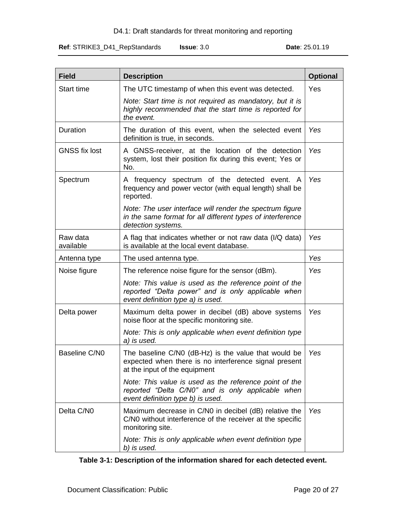### D4.1: Draft standards for threat monitoring and reporting

**Ref**: STRIKE3\_D41\_RepStandards **Issue**: 3.0 **Date**: 25.01.19

| <b>Field</b>           | <b>Description</b>                                                                                                                                | <b>Optional</b> |
|------------------------|---------------------------------------------------------------------------------------------------------------------------------------------------|-----------------|
| <b>Start time</b>      | The UTC timestamp of when this event was detected.                                                                                                | Yes             |
|                        | Note: Start time is not required as mandatory, but it is<br>highly recommended that the start time is reported for<br>the event.                  |                 |
| Duration               | The duration of this event, when the selected event<br>definition is true, in seconds.                                                            | Yes             |
| <b>GNSS fix lost</b>   | A GNSS-receiver, at the location of the detection<br>system, lost their position fix during this event; Yes or<br>No.                             | Yes             |
| Spectrum               | A frequency spectrum of the detected event.<br>A<br>frequency and power vector (with equal length) shall be<br>reported.                          | Yes             |
|                        | Note: The user interface will render the spectrum figure<br>in the same format for all different types of interference<br>detection systems.      |                 |
| Raw data<br>available  | A flag that indicates whether or not raw data (I/Q data)<br>is available at the local event database.                                             | Yes             |
| Antenna type           | The used antenna type.                                                                                                                            | Yes             |
| Noise figure           | The reference noise figure for the sensor (dBm).                                                                                                  | Yes             |
|                        | Note: This value is used as the reference point of the<br>reported "Delta power" and is only applicable when<br>event definition type a) is used. |                 |
| Delta power            | Maximum delta power in decibel (dB) above systems<br>noise floor at the specific monitoring site.                                                 | Yes             |
|                        | Note: This is only applicable when event definition type<br>a) is used.                                                                           |                 |
| Baseline C/N0          | The baseline C/N0 (dB-Hz) is the value that would be<br>expected when there is no interference signal present<br>at the input of the equipment    | Yes             |
|                        | Note: This value is used as the reference point of the<br>reported "Delta C/N0" and is only applicable when<br>event definition type b) is used.  |                 |
| Delta C/N <sub>0</sub> | Maximum decrease in C/N0 in decibel (dB) relative the<br>C/N0 without interference of the receiver at the specific<br>monitoring site.            | Yes             |
|                        | Note: This is only applicable when event definition type<br>b) is used.                                                                           |                 |

<span id="page-19-0"></span>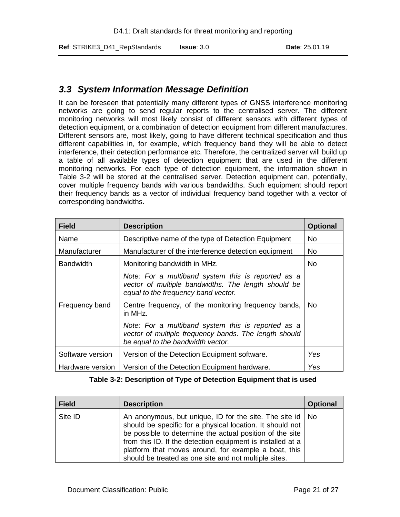# <span id="page-20-0"></span>*3.3 System Information Message Definition*

It can be foreseen that potentially many different types of GNSS interference monitoring networks are going to send regular reports to the centralised server. The different monitoring networks will most likely consist of different sensors with different types of detection equipment, or a combination of detection equipment from different manufactures. Different sensors are, most likely, going to have different technical specification and thus different capabilities in, for example, which frequency band they will be able to detect interference, their detection performance etc. Therefore, the centralized server will build up a table of all available types of detection equipment that are used in the different monitoring networks. For each type of detection equipment, the information shown in [Table 3-2](#page-20-1) will be stored at the centralised server. Detection equipment can, potentially, cover multiple frequency bands with various bandwidths. Such equipment should report their frequency bands as a vector of individual frequency band together with a vector of corresponding bandwidths.

| <b>Field</b>     | <b>Description</b>                                                                                                                               | <b>Optional</b> |
|------------------|--------------------------------------------------------------------------------------------------------------------------------------------------|-----------------|
| Name             | Descriptive name of the type of Detection Equipment                                                                                              | No.             |
| Manufacturer     | Manufacturer of the interference detection equipment                                                                                             | <b>No</b>       |
| <b>Bandwidth</b> | Monitoring bandwidth in MHz.                                                                                                                     | <b>No</b>       |
|                  | Note: For a multiband system this is reported as a<br>vector of multiple bandwidths. The length should be<br>equal to the frequency band vector. |                 |
| Frequency band   | Centre frequency, of the monitoring frequency bands,<br>in MHz.                                                                                  | No.             |
|                  | Note: For a multiband system this is reported as a<br>vector of multiple frequency bands. The length should<br>be equal to the bandwidth vector. |                 |
| Software version | Version of the Detection Equipment software.                                                                                                     | Yes             |
| Hardware version | Version of the Detection Equipment hardware.                                                                                                     | Yes             |

|  | Table 3-2: Description of Type of Detection Equipment that is used |  |  |  |  |  |
|--|--------------------------------------------------------------------|--|--|--|--|--|
|--|--------------------------------------------------------------------|--|--|--|--|--|

<span id="page-20-1"></span>

| <b>Field</b> | <b>Description</b>                                                                                                                                                                                                                                                                                                                                                  | <b>Optional</b> |
|--------------|---------------------------------------------------------------------------------------------------------------------------------------------------------------------------------------------------------------------------------------------------------------------------------------------------------------------------------------------------------------------|-----------------|
| Site ID      | An anonymous, but unique, ID for the site. The site id   No<br>should be specific for a physical location. It should not<br>be possible to determine the actual position of the site<br>from this ID. If the detection equipment is installed at a<br>platform that moves around, for example a boat, this<br>should be treated as one site and not multiple sites. |                 |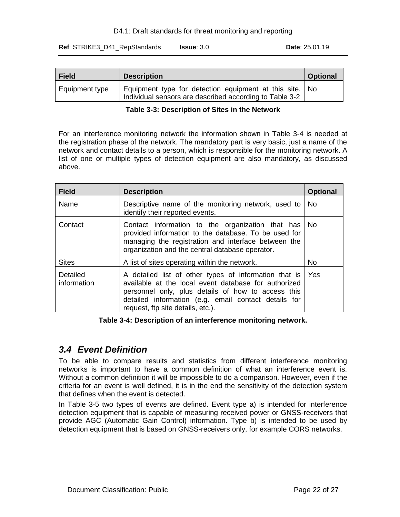### D4.1: Draft standards for threat monitoring and reporting

**Ref**: STRIKE3\_D41\_RepStandards **Issue**: 3.0 **Date**: 25.01.19

| <b>Field</b>   | <b>Description</b>                                                                                                 | <b>Optional</b> |
|----------------|--------------------------------------------------------------------------------------------------------------------|-----------------|
| Equipment type | Equipment type for detection equipment at this site. No<br>Individual sensors are described according to Table 3-2 |                 |

### **Table 3-3: Description of Sites in the Network**

<span id="page-21-1"></span>For an interference monitoring network the information shown in [Table 3-4](#page-21-2) is needed at the registration phase of the network. The mandatory part is very basic, just a name of the network and contact details to a person, which is responsible for the monitoring network. A list of one or multiple types of detection equipment are also mandatory, as discussed above.

| <b>Field</b>            | <b>Description</b>                                                                                                                                                                                                                                               | <b>Optional</b> |
|-------------------------|------------------------------------------------------------------------------------------------------------------------------------------------------------------------------------------------------------------------------------------------------------------|-----------------|
| Name                    | Descriptive name of the monitoring network, used to<br>identify their reported events.                                                                                                                                                                           | <b>No</b>       |
| Contact                 | Contact information to the organization that has<br>provided information to the database. To be used for<br>managing the registration and interface between the<br>organization and the central database operator.                                               | No.             |
| <b>Sites</b>            | A list of sites operating within the network.                                                                                                                                                                                                                    | No.             |
| Detailed<br>information | A detailed list of other types of information that is<br>available at the local event database for authorized<br>personnel only, plus details of how to access this<br>detailed information (e.g. email contact details for<br>request, ftp site details, etc.). | Yes             |

### **Table 3-4: Description of an interference monitoring network.**

# <span id="page-21-2"></span><span id="page-21-0"></span>*3.4 Event Definition*

To be able to compare results and statistics from different interference monitoring networks is important to have a common definition of what an interference event is. Without a common definition it will be impossible to do a comparison. However, even if the criteria for an event is well defined, it is in the end the sensitivity of the detection system that defines when the event is detected.

In [Table 3-5](#page-22-0) two types of events are defined. Event type a) is intended for interference detection equipment that is capable of measuring received power or GNSS-receivers that provide AGC (Automatic Gain Control) information. Type b) is intended to be used by detection equipment that is based on GNSS-receivers only, for example CORS networks.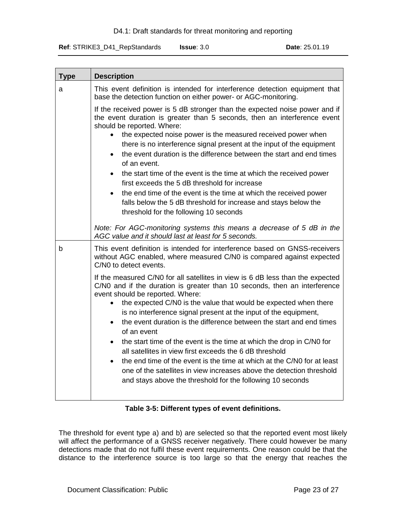**Ref**: STRIKE3\_D41\_RepStandards **Issue**: 3.0 **Date**: 25.01.19

| <b>Type</b> | <b>Description</b>                                                                                                                                                                                                                                                                                                                                                                                                                                                                                                                                                                                                                                                                                                                                                                                |
|-------------|---------------------------------------------------------------------------------------------------------------------------------------------------------------------------------------------------------------------------------------------------------------------------------------------------------------------------------------------------------------------------------------------------------------------------------------------------------------------------------------------------------------------------------------------------------------------------------------------------------------------------------------------------------------------------------------------------------------------------------------------------------------------------------------------------|
| a           | This event definition is intended for interference detection equipment that<br>base the detection function on either power- or AGC-monitoring.                                                                                                                                                                                                                                                                                                                                                                                                                                                                                                                                                                                                                                                    |
|             | If the received power is 5 dB stronger than the expected noise power and if<br>the event duration is greater than 5 seconds, then an interference event<br>should be reported. Where:<br>the expected noise power is the measured received power when<br>there is no interference signal present at the input of the equipment<br>the event duration is the difference between the start and end times<br>$\bullet$<br>of an event.<br>the start time of the event is the time at which the received power<br>first exceeds the 5 dB threshold for increase<br>the end time of the event is the time at which the received power<br>$\bullet$<br>falls below the 5 dB threshold for increase and stays below the<br>threshold for the following 10 seconds                                        |
|             | Note: For AGC-monitoring systems this means a decrease of 5 dB in the<br>AGC value and it should last at least for 5 seconds.                                                                                                                                                                                                                                                                                                                                                                                                                                                                                                                                                                                                                                                                     |
| b           | This event definition is intended for interference based on GNSS-receivers<br>without AGC enabled, where measured C/N0 is compared against expected<br>C/N0 to detect events.                                                                                                                                                                                                                                                                                                                                                                                                                                                                                                                                                                                                                     |
|             | If the measured C/N0 for all satellites in view is 6 dB less than the expected<br>C/N0 and if the duration is greater than 10 seconds, then an interference<br>event should be reported. Where:<br>the expected C/N0 is the value that would be expected when there<br>is no interference signal present at the input of the equipment,<br>the event duration is the difference between the start and end times<br>of an event<br>the start time of the event is the time at which the drop in C/N0 for<br>$\bullet$<br>all satellites in view first exceeds the 6 dB threshold<br>the end time of the event is the time at which at the C/N0 for at least<br>one of the satellites in view increases above the detection threshold<br>and stays above the threshold for the following 10 seconds |

### **Table 3-5: Different types of event definitions.**

<span id="page-22-0"></span>The threshold for event type a) and b) are selected so that the reported event most likely will affect the performance of a GNSS receiver negatively. There could however be many detections made that do not fulfil these event requirements. One reason could be that the distance to the interference source is too large so that the energy that reaches the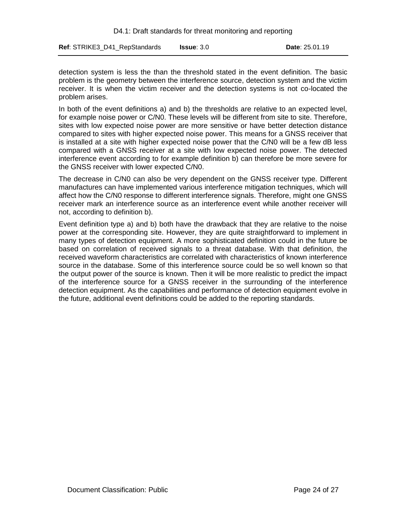detection system is less the than the threshold stated in the event definition. The basic problem is the geometry between the interference source, detection system and the victim receiver. It is when the victim receiver and the detection systems is not co-located the problem arises.

In both of the event definitions a) and b) the thresholds are relative to an expected level, for example noise power or C/N0. These levels will be different from site to site. Therefore, sites with low expected noise power are more sensitive or have better detection distance compared to sites with higher expected noise power. This means for a GNSS receiver that is installed at a site with higher expected noise power that the C/N0 will be a few dB less compared with a GNSS receiver at a site with low expected noise power. The detected interference event according to for example definition b) can therefore be more severe for the GNSS receiver with lower expected C/N0.

The decrease in C/N0 can also be very dependent on the GNSS receiver type. Different manufactures can have implemented various interference mitigation techniques, which will affect how the C/N0 response to different interference signals. Therefore, might one GNSS receiver mark an interference source as an interference event while another receiver will not, according to definition b).

Event definition type a) and b) both have the drawback that they are relative to the noise power at the corresponding site. However, they are quite straightforward to implement in many types of detection equipment. A more sophisticated definition could in the future be based on correlation of received signals to a threat database. With that definition, the received waveform characteristics are correlated with characteristics of known interference source in the database. Some of this interference source could be so well known so that the output power of the source is known. Then it will be more realistic to predict the impact of the interference source for a GNSS receiver in the surrounding of the interference detection equipment. As the capabilities and performance of detection equipment evolve in the future, additional event definitions could be added to the reporting standards.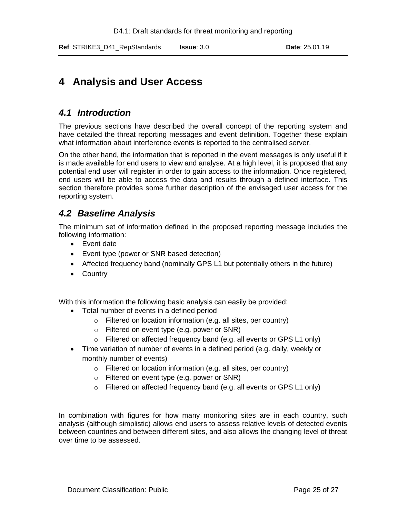# <span id="page-24-0"></span>**4 Analysis and User Access**

# <span id="page-24-1"></span>*4.1 Introduction*

The previous sections have described the overall concept of the reporting system and have detailed the threat reporting messages and event definition. Together these explain what information about interference events is reported to the centralised server.

On the other hand, the information that is reported in the event messages is only useful if it is made available for end users to view and analyse. At a high level, it is proposed that any potential end user will register in order to gain access to the information. Once registered, end users will be able to access the data and results through a defined interface. This section therefore provides some further description of the envisaged user access for the reporting system.

# <span id="page-24-2"></span>*4.2 Baseline Analysis*

The minimum set of information defined in the proposed reporting message includes the following information:

- Event date
- Event type (power or SNR based detection)
- Affected frequency band (nominally GPS L1 but potentially others in the future)
- Country

With this information the following basic analysis can easily be provided:

- Total number of events in a defined period
	- o Filtered on location information (e.g. all sites, per country)
	- o Filtered on event type (e.g. power or SNR)
	- o Filtered on affected frequency band (e.g. all events or GPS L1 only)
- Time variation of number of events in a defined period (e.g. daily, weekly or monthly number of events)
	- o Filtered on location information (e.g. all sites, per country)
	- o Filtered on event type (e.g. power or SNR)
	- o Filtered on affected frequency band (e.g. all events or GPS L1 only)

In combination with figures for how many monitoring sites are in each country, such analysis (although simplistic) allows end users to assess relative levels of detected events between countries and between different sites, and also allows the changing level of threat over time to be assessed.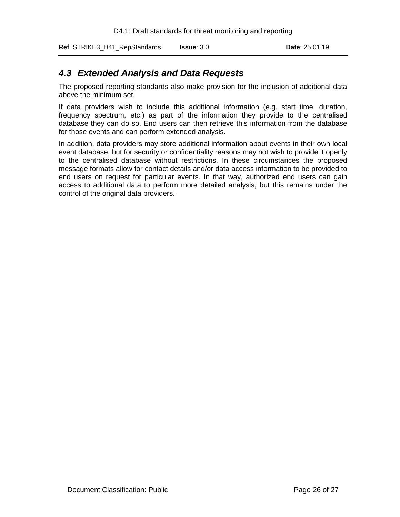**Ref**: STRIKE3\_D41\_RepStandards **Issue**: 3.0 **Date**: 25.01.19

# <span id="page-25-0"></span>*4.3 Extended Analysis and Data Requests*

The proposed reporting standards also make provision for the inclusion of additional data above the minimum set.

If data providers wish to include this additional information (e.g. start time, duration, frequency spectrum, etc.) as part of the information they provide to the centralised database they can do so. End users can then retrieve this information from the database for those events and can perform extended analysis.

In addition, data providers may store additional information about events in their own local event database, but for security or confidentiality reasons may not wish to provide it openly to the centralised database without restrictions. In these circumstances the proposed message formats allow for contact details and/or data access information to be provided to end users on request for particular events. In that way, authorized end users can gain access to additional data to perform more detailed analysis, but this remains under the control of the original data providers.